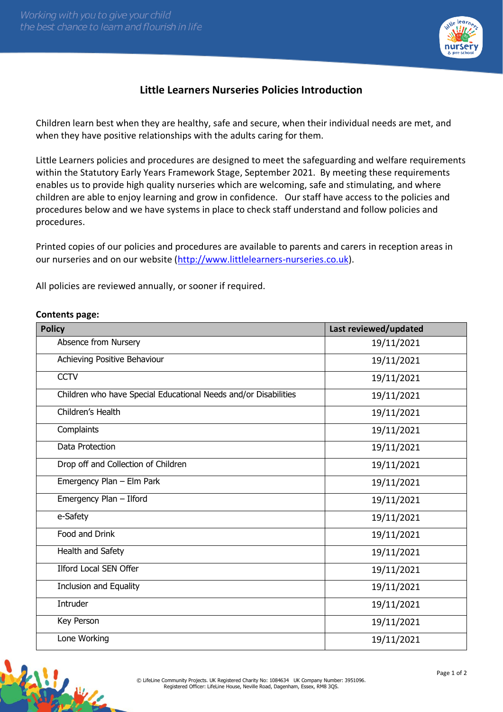

## **Little Learners Nurseries Policies Introduction**

Children learn best when they are healthy, safe and secure, when their individual needs are met, and when they have positive relationships with the adults caring for them.

Little Learners policies and procedures are designed to meet the safeguarding and welfare requirements within the Statutory Early Years Framework Stage, September 2021. By meeting these requirements enables us to provide high quality nurseries which are welcoming, safe and stimulating, and where children are able to enjoy learning and grow in confidence. Our staff have access to the policies and procedures below and we have systems in place to check staff understand and follow policies and procedures.

Printed copies of our policies and procedures are available to parents and carers in reception areas in our nurseries and on our website [\(http://www.littlelearners-nurseries.co.uk\)](http://www.littlelearners-nurseries.co.uk/).

All policies are reviewed annually, or sooner if required.

## **Contents page:**

| <b>Policy</b>                                                   | Last reviewed/updated |
|-----------------------------------------------------------------|-----------------------|
| Absence from Nursery                                            | 19/11/2021            |
| Achieving Positive Behaviour                                    | 19/11/2021            |
| <b>CCTV</b>                                                     | 19/11/2021            |
| Children who have Special Educational Needs and/or Disabilities | 19/11/2021            |
| Children's Health                                               | 19/11/2021            |
| Complaints                                                      | 19/11/2021            |
| Data Protection                                                 | 19/11/2021            |
| Drop off and Collection of Children                             | 19/11/2021            |
| Emergency Plan - Elm Park                                       | 19/11/2021            |
| Emergency Plan - Ilford                                         | 19/11/2021            |
| e-Safety                                                        | 19/11/2021            |
| Food and Drink                                                  | 19/11/2021            |
| Health and Safety                                               | 19/11/2021            |
| <b>Ilford Local SEN Offer</b>                                   | 19/11/2021            |
| Inclusion and Equality                                          | 19/11/2021            |
| Intruder                                                        | 19/11/2021            |
| Key Person                                                      | 19/11/2021            |
| Lone Working                                                    | 19/11/2021            |